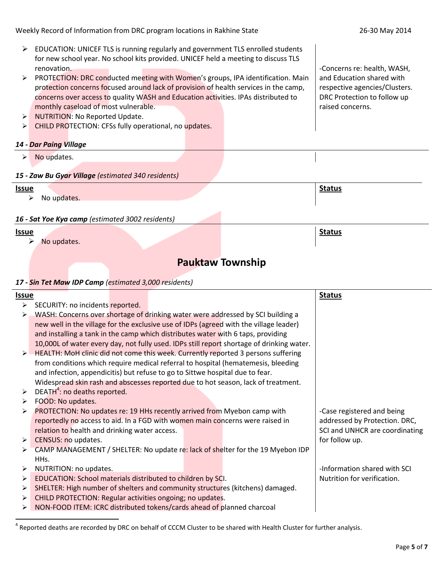- EDUCATION: UNICEF TLS is running regularly and government TLS enrolled students for new school year. No school kits provided. UNICEF held a meeting to discuss TLS renovation.
- > PROTECTION: DRC conducted meeting with Women's groups, IPA identification. Main protection concerns focused around lack of provision of health services in the camp, concerns over access to quality WASH and Education activities. IPAs distributed to monthly caseload of most vulnerable.
- > NUTRITION: No Reported Update.
- > CHILD PROTECTION: CFSs fully operational, no updates.

#### *14 - Dar Paing Village*

 $\triangleright$  No updates.

#### *15 - Zaw Bu Gyar Village (estimated 340 residents)*

### **Issue Status**

 $\triangleright$  No updates.

### *16 - Sat Yoe Kya camp (estimated 3002 residents)*

#### **Issue**

 $\ddot{\phantom{a}}$ 

 $\triangleright$  No updates.

# **Pauktaw Township**

#### *17 - Sin Tet Maw IDP Camp (estimated 3,000 residents)*

| <u>Issue</u>          |                                                                                                    |                             |                            |  |                               | <b>Status</b>                  |  |
|-----------------------|----------------------------------------------------------------------------------------------------|-----------------------------|----------------------------|--|-------------------------------|--------------------------------|--|
| $\blacktriangleright$ | SECURITY: no incidents reported.                                                                   |                             |                            |  |                               |                                |  |
| ➤                     | WASH: Concerns over shortage of drinking water were addressed by SCI building a                    |                             |                            |  |                               |                                |  |
|                       | new well in the village for the exclusive use of IDPs (agreed with the village leader)             |                             |                            |  |                               |                                |  |
|                       | and installing a tank in the camp which distributes water with 6 taps, providing                   |                             |                            |  |                               |                                |  |
|                       | 10,000L of water every day, not fully used. IDPs still report shortage of drinking water.          |                             |                            |  |                               |                                |  |
|                       | $\triangleright$ HEALTH: MoH clinic did not come this week. Currently reported 3 persons suffering |                             |                            |  |                               |                                |  |
|                       | from conditions which require medical referral to hospital (hematemesis, bleeding                  |                             |                            |  |                               |                                |  |
|                       | and infection, appendicitis) but refuse to go to Sittwe hospital due to fear.                      |                             |                            |  |                               |                                |  |
|                       | Widespread skin rash and abscesses reported due to hot season, lack of treatment.                  |                             |                            |  |                               |                                |  |
| $\blacktriangleright$ | DEATH <sup>4</sup> : no deaths reported.                                                           |                             |                            |  |                               |                                |  |
| ➤                     | FOOD: No updates.                                                                                  |                             |                            |  |                               |                                |  |
| ➤                     | PROTECTION: No updates re: 19 HHs recently arrived from Myebon camp with                           |                             | -Case registered and being |  |                               |                                |  |
|                       | reportedly no access to aid. In a FGD with women main concerns were raised in                      |                             |                            |  | addressed by Protection. DRC, |                                |  |
|                       | relation to health and drinking water access.                                                      |                             |                            |  |                               | SCI and UNHCR are coordinating |  |
| ➤                     | CENSUS: no updates.                                                                                |                             |                            |  |                               | for follow up.                 |  |
| ➤                     | CAMP MANAGEMENT / SHELTER: No update re: lack of shelter for the 19 Myebon IDP                     |                             |                            |  |                               |                                |  |
|                       | HHs.                                                                                               |                             |                            |  |                               |                                |  |
| ➤                     | NUTRITION: no updates.                                                                             |                             |                            |  |                               | -Information shared with SCI   |  |
| ≻                     | EDUCATION: School materials distributed to children by SCI.                                        | Nutrition for verification. |                            |  |                               |                                |  |
| ➤                     | SHELTER: High number of shelters and community structures (kitchens) damaged.                      |                             |                            |  |                               |                                |  |
| ➤                     | CHILD PROTECTION: Regular activities ongoing; no updates.                                          |                             |                            |  |                               |                                |  |
| ➤                     | NON-FOOD ITEM: ICRC distributed tokens/cards ahead of planned charcoal                             |                             |                            |  |                               |                                |  |
|                       |                                                                                                    |                             |                            |  |                               |                                |  |

 $^4$  Reported deaths are recorded by DRC on behalf of CCCM Cluster to be shared with Health Cluster for further analysis.

**Status**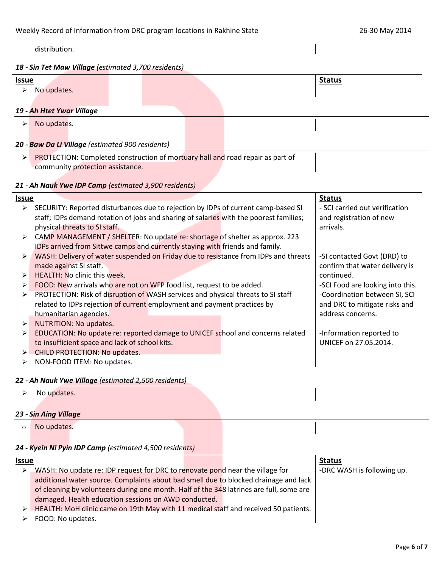distribution.

#### *18 - Sin Tet Maw Village (estimated 3,700 residents)*

| <u>Issue</u>          |                                                                                |  |  |  |  |  | <b>Status</b> |  |
|-----------------------|--------------------------------------------------------------------------------|--|--|--|--|--|---------------|--|
| $\blacktriangleright$ | No updates.                                                                    |  |  |  |  |  |               |  |
|                       |                                                                                |  |  |  |  |  |               |  |
|                       | 19 - Ah Htet Ywar Village                                                      |  |  |  |  |  |               |  |
|                       | No updates.                                                                    |  |  |  |  |  |               |  |
|                       |                                                                                |  |  |  |  |  |               |  |
|                       | 20 - Baw Da Li Village (estimated 900 residents)                               |  |  |  |  |  |               |  |
| ➤                     | PROTECTION: Completed construction of mortuary hall and road repair as part of |  |  |  |  |  |               |  |
|                       | community protection assistance.                                               |  |  |  |  |  |               |  |
|                       |                                                                                |  |  |  |  |  |               |  |

# *21 - Ah Nauk Ywe IDP Camp (estimated 3,900 residents)*

| <u>Issue</u>          |                                                                                        | <b>Status</b>                    |  |  |  |  |  |
|-----------------------|----------------------------------------------------------------------------------------|----------------------------------|--|--|--|--|--|
| $\blacktriangleright$ | SECURITY: Reported disturbances due to rejection by IDPs of current camp-based SI      | - SCI carried out verification   |  |  |  |  |  |
|                       | staff; IDPs demand rotation of jobs and sharing of salaries with the poorest families; | and registration of new          |  |  |  |  |  |
|                       | physical threats to SI staff.                                                          | arrivals.                        |  |  |  |  |  |
|                       | > CAMP MANAGEMENT / SHELTER: No update re: shortage of shelter as approx. 223          |                                  |  |  |  |  |  |
|                       | IDPs arrived from Sittwe camps and currently staying with friends and family.          |                                  |  |  |  |  |  |
| ➤                     | WASH: Delivery of water suspended on Friday due to resistance from IDPs and threats    | -SI contacted Govt (DRD) to      |  |  |  |  |  |
|                       | made against SI staff.                                                                 | confirm that water delivery is   |  |  |  |  |  |
| ➤                     | <b>HEALTH: No clinic this week.</b>                                                    | continued.                       |  |  |  |  |  |
| ➤                     | FOOD: New arrivals who are not on WFP food list, request to be added.                  | -SCI Food are looking into this. |  |  |  |  |  |
| ➤                     | PROTECTION: Risk of disruption of WASH services and physical threats to SI staff       | -Coordination between SI, SCI    |  |  |  |  |  |
|                       | related to IDPs rejection of current employment and payment practices by               | and DRC to mitigate risks and    |  |  |  |  |  |
|                       | humanitarian agencies.                                                                 | address concerns.                |  |  |  |  |  |
| ➤                     | NUTRITION: No updates.                                                                 |                                  |  |  |  |  |  |
| ➤                     | EDUCATION: No update re: reported damage to UNICEF school and concerns related         | -Information reported to         |  |  |  |  |  |
|                       | to insufficient space and lack of school kits.                                         | UNICEF on 27.05.2014.            |  |  |  |  |  |
| $\blacktriangleright$ | CHILD PROTECTION: No updates.                                                          |                                  |  |  |  |  |  |
| ➤                     | NON-FOOD ITEM: No updates.                                                             |                                  |  |  |  |  |  |
|                       |                                                                                        |                                  |  |  |  |  |  |

# *22 - Ah Nauk Ywe Village (estimated 2,500 residents)*

 $\triangleright$  No updates.

# *23 - Sin Aing Village*

o No updates.

# *24 - Kyein Ni Pyin IDP Camp (estimated 4,500 residents)*

#### **Issue Status** ▶ WASH: No update re: IDP request for DRC to renovate pond near the village for additional water source. Complaints about bad smell due to blocked drainage and lack of cleaning by volunteers during one month. Half of the 348 latrines are full, some are damaged. Health education sessions on AWD conducted.  $\triangleright$  HEALTH: MoH clinic came on 19th May with 11 medical staff and received 50 patients. -DRC WASH is following up.

> FOOD: No updates.